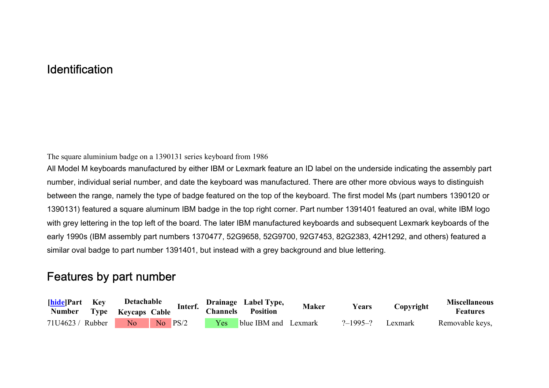## **Identification**

The square aluminium badge on a 1390131 series keyboard from 1986

All Model M keyboards manufactured by either IBM or Lexmark feature an ID label on the underside indicating the assembly part number, individual serial number, and date the keyboard was manufactured. There are other more obvious ways to distinguish between the range, namely the type of badge featured on the top of the keyboard. The first model Ms (part numbers 1390120 or 1390131) featured a square aluminum IBM badge in the top right corner. Part number 1391401 featured an oval, white IBM logo with grey lettering in the top left of the board. The later IBM manufactured keyboards and subsequent Lexmark keyboards of the early 1990s (IBM assembly part numbers 1370477, 52G9658, 52G9700, 92G7453, 82G2383, 42H1292, and others) featured a similar oval badge to part number 1391401, but instead with a grey background and blue lettering.

## Features by part number

| <b>hide</b> Part Key      | Detachable |             | Interf. | Drainage Label Type, |                          | <b>Maker</b> | Years          | Copyright | <b>Miscellaneous</b> |
|---------------------------|------------|-------------|---------|----------------------|--------------------------|--------------|----------------|-----------|----------------------|
| Number Type Keycaps Cable |            |             |         | <b>Channels</b>      | <b>Position</b>          |              |                |           | <b>Features</b>      |
| 71U4623 / Rubber          | No         | $No$ $PS/2$ |         |                      | Yes blue IBM and Lexmark |              | $? - 1995 - ?$ | Lexmark   | Removable keys,      |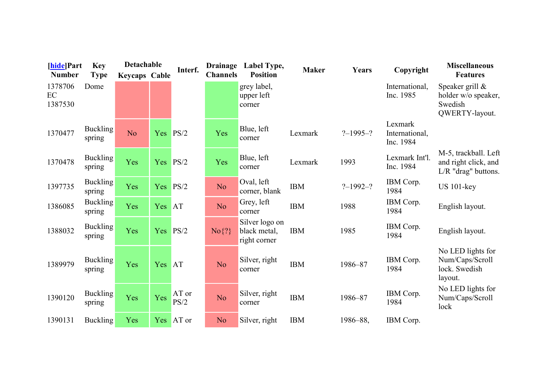| [hide]Part               | <b>Key</b>                | Detachable           |     | Interf.       | <b>Drainage</b> | Label Type,                                    | <b>Maker</b> | Years          | Copyright                              | <b>Miscellaneous</b>                                                |
|--------------------------|---------------------------|----------------------|-----|---------------|-----------------|------------------------------------------------|--------------|----------------|----------------------------------------|---------------------------------------------------------------------|
| <b>Number</b>            | <b>Type</b>               | <b>Keycaps Cable</b> |     |               | <b>Channels</b> | <b>Position</b>                                |              |                |                                        | <b>Features</b>                                                     |
| 1378706<br>EC<br>1387530 | Dome                      |                      |     |               |                 | grey label,<br>upper left<br>corner            |              |                | International,<br>Inc. 1985            | Speaker grill &<br>holder w/o speaker,<br>Swedish<br>QWERTY-layout. |
| 1370477                  | <b>Buckling</b><br>spring | N <sub>o</sub>       | Yes | PS/2          | Yes             | Blue, left<br>corner                           | Lexmark      | $? - 1995 - ?$ | Lexmark<br>International,<br>Inc. 1984 |                                                                     |
| 1370478                  | <b>Buckling</b><br>spring | Yes                  | Yes | PS/2          | Yes             | Blue, left<br>corner                           | Lexmark      | 1993           | Lexmark Int'l.<br>Inc. 1984            | M-5, trackball. Left<br>and right click, and<br>L/R "drag" buttons. |
| 1397735                  | <b>Buckling</b><br>spring | Yes                  | Yes | PS/2          | N <sub>o</sub>  | Oval, left<br>corner, blank                    | <b>IBM</b>   | $? - 1992 - ?$ | IBM Corp.<br>1984                      | $US 101$ -key                                                       |
| 1386085                  | <b>Buckling</b><br>spring | Yes                  | Yes | <b>AT</b>     | N <sub>o</sub>  | Grey, left<br>corner                           | <b>IBM</b>   | 1988           | IBM Corp.<br>1984                      | English layout.                                                     |
| 1388032                  | <b>Buckling</b><br>spring | Yes                  | Yes | PS/2          | $No\$ ?}        | Silver logo on<br>black metal,<br>right corner | <b>IBM</b>   | 1985           | IBM Corp.<br>1984                      | English layout.                                                     |
| 1389979                  | <b>Buckling</b><br>spring | Yes                  | Yes | <b>AT</b>     | N <sub>o</sub>  | Silver, right<br>corner                        | <b>IBM</b>   | 1986-87        | IBM Corp.<br>1984                      | No LED lights for<br>Num/Caps/Scroll<br>lock. Swedish<br>layout.    |
| 1390120                  | <b>Buckling</b><br>spring | Yes                  | Yes | AT or<br>PS/2 | N <sub>o</sub>  | Silver, right<br>corner                        | <b>IBM</b>   | 1986-87        | IBM Corp.<br>1984                      | No LED lights for<br>Num/Caps/Scroll<br>lock                        |
| 1390131                  | <b>Buckling</b>           | Yes                  | Yes | $AT$ or       | N <sub>o</sub>  | Silver, right                                  | <b>IBM</b>   | 1986-88,       | IBM Corp.                              |                                                                     |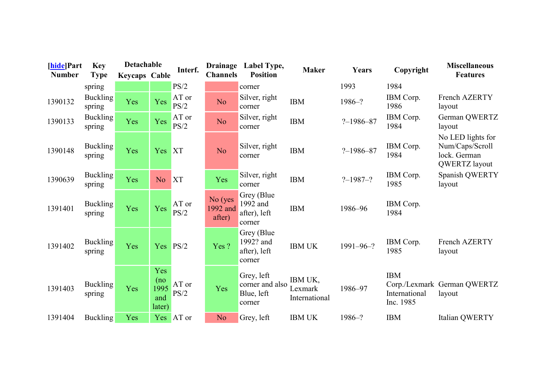| [hide]Part<br><b>Number</b> | <b>Key</b><br><b>Type</b> | Detachable           |                                     | Interf.       | <b>Drainage</b><br><b>Channels</b> | Label Type,<br><b>Position</b>                        | <b>Maker</b>                        | Years           | Copyright                                | <b>Miscellaneous</b><br><b>Features</b>                               |
|-----------------------------|---------------------------|----------------------|-------------------------------------|---------------|------------------------------------|-------------------------------------------------------|-------------------------------------|-----------------|------------------------------------------|-----------------------------------------------------------------------|
|                             | spring                    | <b>Keycaps Cable</b> |                                     | PS/2          |                                    | corner                                                |                                     | 1993            | 1984                                     |                                                                       |
| 1390132                     | <b>Buckling</b><br>spring | Yes                  | Yes                                 | AT or<br>PS/2 | N <sub>o</sub>                     | Silver, right<br>corner                               | <b>IBM</b>                          | $1986 - ?$      | IBM Corp.<br>1986                        | French AZERTY<br>layout                                               |
| 1390133                     | Buckling<br>spring        | Yes                  | Yes                                 | AT or<br>PS/2 | N <sub>o</sub>                     | Silver, right<br>corner                               | <b>IBM</b>                          | $? - 1986 - 87$ | IBM Corp.<br>1984                        | German QWERTZ<br>layout                                               |
| 1390148                     | <b>Buckling</b><br>spring | Yes                  | Yes                                 | <b>XT</b>     | N <sub>o</sub>                     | Silver, right<br>corner                               | <b>IBM</b>                          | $? - 1986 - 87$ | IBM Corp.<br>1984                        | No LED lights for<br>Num/Caps/Scroll<br>lock. German<br>QWERTZ layout |
| 1390639                     | <b>Buckling</b><br>spring | Yes                  | N <sub>o</sub>                      | <b>XT</b>     | Yes                                | Silver, right<br>corner                               | <b>IBM</b>                          | $? - 1987 - ?$  | IBM Corp.<br>1985                        | Spanish QWERTY<br>layout                                              |
| 1391401                     | <b>Buckling</b><br>spring | Yes                  | Yes                                 | AT or<br>PS/2 | No (yes<br>1992 and<br>after)      | Grey (Blue)<br>1992 and<br>after), left<br>corner     | <b>IBM</b>                          | 1986-96         | IBM Corp.<br>1984                        |                                                                       |
| 1391402                     | <b>Buckling</b><br>spring | Yes                  | Yes                                 | PS/2          | Yes?                               | Grey (Blue)<br>1992? and<br>after), left<br>corner    | <b>IBM UK</b>                       | $1991 - 96 - ?$ | IBM Corp.<br>1985                        | French AZERTY<br>layout                                               |
| 1391403                     | <b>Buckling</b><br>spring | Yes                  | Yes<br>(no<br>1995<br>and<br>later) | AT or<br>PS/2 | Yes                                | Grey, left<br>corner and also<br>Blue, left<br>corner | IBM UK,<br>Lexmark<br>International | 1986-97         | <b>IBM</b><br>International<br>Inc. 1985 | Corp./Lexmark German QWERTZ<br>layout                                 |
| 1391404                     | <b>Buckling</b>           | Yes                  |                                     | Yes AT or     | N <sub>o</sub>                     | Grey, left                                            | <b>IBM UK</b>                       | $1986 - ?$      | <b>IBM</b>                               | Italian QWERTY                                                        |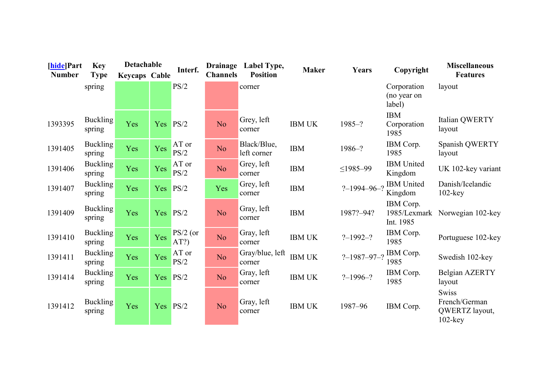| [hide]Part<br><b>Number</b> | <b>Key</b><br><b>Type</b> | Detachable<br><b>Keycaps Cable</b> |          | Interf.            | <b>Drainage</b><br><b>Channels</b> | Label Type,<br><b>Position</b> | <b>Maker</b>  | Years               | Copyright                              | <b>Miscellaneous</b><br><b>Features</b>                       |
|-----------------------------|---------------------------|------------------------------------|----------|--------------------|------------------------------------|--------------------------------|---------------|---------------------|----------------------------------------|---------------------------------------------------------------|
|                             | spring                    |                                    |          | PS/2               |                                    | corner                         |               |                     | Corporation<br>(no year on<br>label)   | layout                                                        |
| 1393395                     | <b>Buckling</b><br>spring | Yes                                | Yes      | PS/2               | N <sub>o</sub>                     | Grey, left<br>corner           | <b>IBM UK</b> | $1985 - ?$          | <b>IBM</b><br>Corporation<br>1985      | Italian QWERTY<br>layout                                      |
| 1391405                     | <b>Buckling</b><br>spring | Yes                                | Yes      | AT or<br>PS/2      | N <sub>o</sub>                     | Black/Blue,<br>left corner     | <b>IBM</b>    | $1986 - ?$          | IBM Corp.<br>1985                      | Spanish QWERTY<br>layout                                      |
| 1391406                     | <b>Buckling</b><br>spring | Yes                                | Yes      | AT or<br>PS/2      | No.                                | Grey, left<br>corner           | <b>IBM</b>    | $\leq$ 1985-99      | <b>IBM</b> United<br>Kingdom           | UK 102-key variant                                            |
| 1391407                     | <b>Buckling</b><br>spring | Yes                                | Yes      | PS/2               | Yes                                | Grey, left<br>corner           | <b>IBM</b>    | $? - 1994 - 96 - ?$ | <b>IBM</b> United<br>Kingdom           | Danish/Icelandic<br>$102$ -key                                |
| 1391409                     | <b>Buckling</b><br>spring | Yes                                | Yes      | PS/2               | N <sub>o</sub>                     | Gray, left<br>corner           | <b>IBM</b>    | 1987?-94?           | IBM Corp.<br>1985/Lexmark<br>Int. 1985 | Norwegian 102-key                                             |
| 1391410                     | <b>Buckling</b><br>spring | Yes                                | Yes      | $PS/2$ (or<br>AT?) | N <sub>o</sub>                     | Gray, left<br>corner           | <b>IBM UK</b> | $? - 1992 - ?$      | IBM Corp.<br>1985                      | Portuguese 102-key                                            |
| 1391411                     | <b>Buckling</b><br>spring | Yes                                | Yes      | AT or<br>PS/2      | No.                                | Gray/blue, left<br>corner      | <b>IBM UK</b> | $? - 1987 - 97 - ?$ | IBM Corp.<br>1985                      | Swedish 102-key                                               |
| 1391414                     | <b>Buckling</b><br>spring | Yes                                | Yes      | PS/2               | N <sub>o</sub>                     | Gray, left<br>corner           | <b>IBM UK</b> | $? - 1996 - ?$      | IBM Corp.<br>1985                      | Belgian AZERTY<br>layout                                      |
| 1391412                     | <b>Buckling</b><br>spring | Yes                                | Yes PS/2 |                    | No                                 | Gray, left<br>corner           | <b>IBM UK</b> | 1987-96             | IBM Corp.                              | <b>Swiss</b><br>French/German<br>QWERTZ layout,<br>$102$ -key |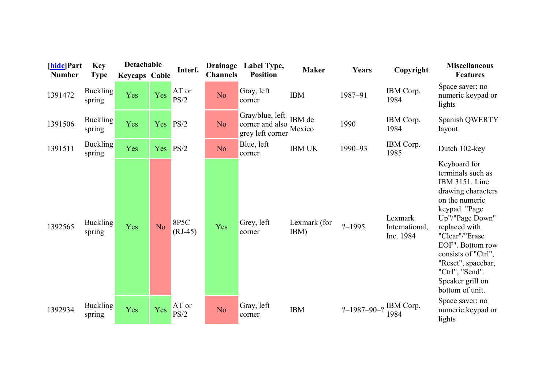| [hide]Part<br><b>Number</b> | <b>Key</b><br><b>Type</b> | Detachable<br><b>Keycaps Cable</b> |                | Interf.           | <b>Drainage</b><br><b>Channels</b> | Label Type,<br><b>Position</b>                         | <b>Maker</b>         | Years             | Copyright                              | <b>Miscellaneous</b><br><b>Features</b>                                                                                                                                                                                                                                                       |
|-----------------------------|---------------------------|------------------------------------|----------------|-------------------|------------------------------------|--------------------------------------------------------|----------------------|-------------------|----------------------------------------|-----------------------------------------------------------------------------------------------------------------------------------------------------------------------------------------------------------------------------------------------------------------------------------------------|
| 1391472                     | <b>Buckling</b><br>spring | Yes                                | Yes            | AT or<br>PS/2     | No.                                | Gray, left<br>corner                                   | <b>IBM</b>           | 1987-91           | IBM Corp.<br>1984                      | Space saver; no<br>numeric keypad or<br>lights                                                                                                                                                                                                                                                |
| 1391506                     | <b>Buckling</b><br>spring | Yes                                | Yes            | PS/2              | No.                                | Gray/blue, left<br>corner and also<br>grey left corner | IBM de<br>Mexico     | 1990              | IBM Corp.<br>1984                      | Spanish QWERTY<br>layout                                                                                                                                                                                                                                                                      |
| 1391511                     | <b>Buckling</b><br>spring | Yes                                | Yes            | PS/2              | N <sub>o</sub>                     | Blue, left<br>corner                                   | <b>IBM UK</b>        | 1990-93           | IBM Corp.<br>1985                      | Dutch 102-key                                                                                                                                                                                                                                                                                 |
| 1392565                     | <b>Buckling</b><br>spring | Yes                                | N <sub>o</sub> | 8P5C<br>$(RJ-45)$ | Yes                                | Grey, left<br>corner                                   | Lexmark (for<br>IBM) | $? - 1995$        | Lexmark<br>International,<br>Inc. 1984 | Keyboard for<br>terminals such as<br>IBM 3151. Line<br>drawing characters<br>on the numeric<br>keypad. "Page<br>Up"/"Page Down"<br>replaced with<br>"Clear"/"Erase<br>EOF". Bottom row<br>consists of "Ctrl",<br>"Reset", spacebar,<br>"Ctrl", "Send".<br>Speaker grill on<br>bottom of unit. |
| 1392934                     | <b>Buckling</b><br>spring | Yes                                | Yes            | AT or<br>PS/2     | N <sub>o</sub>                     | Gray, left<br>corner                                   | <b>IBM</b>           | $? - 1987 - 90 -$ | IBM Corp.<br>1984                      | Space saver; no<br>numeric keypad or<br>lights                                                                                                                                                                                                                                                |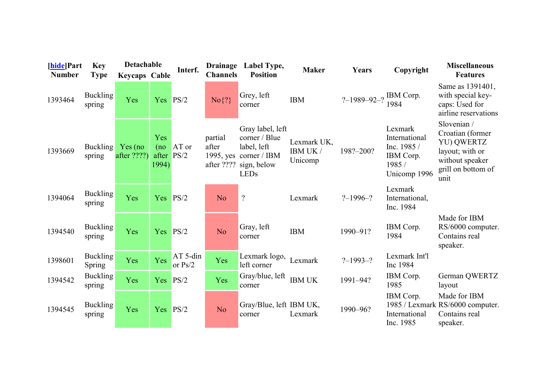| [hide]Part<br><b>Number</b> | <b>Key</b><br><b>Type</b> | Detachable<br><b>Keycaps Cable</b> |                              | Interf.               | <b>Drainage</b><br><b>Channels</b> | Label Type,<br><b>Position</b>                                                                            | <b>Maker</b>                       | Years                 | Copyright                                                                     | <b>Miscellaneous</b><br><b>Features</b>                                                                           |
|-----------------------------|---------------------------|------------------------------------|------------------------------|-----------------------|------------------------------------|-----------------------------------------------------------------------------------------------------------|------------------------------------|-----------------------|-------------------------------------------------------------------------------|-------------------------------------------------------------------------------------------------------------------|
| 1393464                     | Buckling<br>spring        | Yes                                | Yes                          | PS/2                  | $No\$ ?}                           | Grey, left<br>corner                                                                                      | <b>IBM</b>                         | ?-1989-92-? IBM Corp. | 1984                                                                          | Same as 1391401,<br>with special key-<br>caps: Used for<br>airline reservations                                   |
| 1393669                     | <b>Buckling</b><br>spring | Yes (no)<br>after ????)            | Yes<br>(no<br>after<br>1994) | AT or<br>PS/2         | partial<br>after<br>$1995$ , yes   | Gray label, left<br>corner / Blue<br>label, left<br>corner / IBM<br>after ???? sign, below<br><b>LEDs</b> | Lexmark UK,<br>IBM UK /<br>Unicomp | 198?-200?             | Lexmark<br>International<br>Inc. 1985 /<br>IBM Corp.<br>1985/<br>Unicomp 1996 | Slovenian /<br>Croatian (former<br>YU) QWERTZ<br>layout; with or<br>without speaker<br>grill on bottom of<br>unit |
| 1394064                     | <b>Buckling</b><br>spring | Yes                                | Yes                          | PS/2                  | N <sub>o</sub>                     | $\overline{?}$                                                                                            | Lexmark                            | $? - 1996 - ?$        | Lexmark<br>International,<br>Inc. 1984                                        |                                                                                                                   |
| 1394540                     | <b>Buckling</b><br>spring | Yes                                | Yes                          | PS/2                  | N <sub>o</sub>                     | Gray, left<br>corner                                                                                      | <b>IBM</b>                         | 1990-91?              | IBM Corp.<br>1984                                                             | Made for IBM<br>RS/6000 computer.<br>Contains real<br>speaker.                                                    |
| 1398601                     | <b>Buckling</b><br>Spring | Yes                                | Yes                          | AT 5-din<br>or $Ps/2$ | Yes                                | Lexmark logo,<br>left corner                                                                              | Lexmark                            | $? - 1993 - ?$        | Lexmark Int'l<br>Inc 1984                                                     |                                                                                                                   |
| 1394542                     | <b>Buckling</b><br>spring | Yes                                | Yes                          | PS/2                  | Yes                                | Gray/blue, left<br>corner                                                                                 | <b>IBM UK</b>                      | 1991-94?              | IBM Corp.<br>1985                                                             | German QWERTZ<br>layout                                                                                           |
| 1394545                     | <b>Buckling</b><br>spring | Yes                                | Yes                          | PS/2                  | N <sub>o</sub>                     | Gray/Blue, left IBM UK,<br>corner                                                                         | Lexmark                            | 1990-96?              | IBM Corp.<br>International<br>Inc. 1985                                       | Made for IBM<br>1985 / Lexmark RS/6000 computer.<br>Contains real<br>speaker.                                     |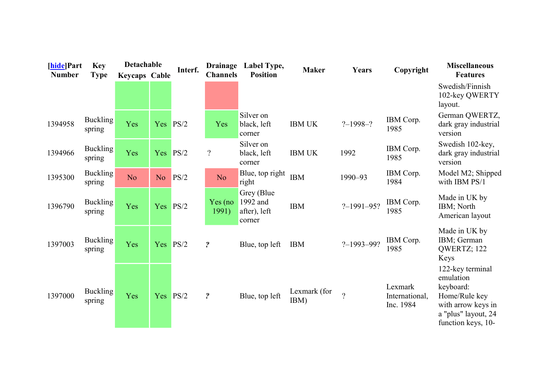| [hide]Part<br><b>Number</b> | <b>Key</b><br><b>Type</b> | Detachable<br><b>Keycaps Cable</b> |                | Interf. | <b>Drainage</b><br><b>Channels</b> | Label Type,<br><b>Position</b>                    | <b>Maker</b>         | Years            | Copyright                              | <b>Miscellaneous</b><br><b>Features</b>                                                                                        |
|-----------------------------|---------------------------|------------------------------------|----------------|---------|------------------------------------|---------------------------------------------------|----------------------|------------------|----------------------------------------|--------------------------------------------------------------------------------------------------------------------------------|
|                             |                           |                                    |                |         |                                    |                                                   |                      |                  |                                        | Swedish/Finnish<br>102-key QWERTY<br>layout.                                                                                   |
| 1394958                     | <b>Buckling</b><br>spring | Yes                                | Yes            | PS/2    | Yes                                | Silver on<br>black, left<br>corner                | <b>IBM UK</b>        | $? - 1998 - ?$   | IBM Corp.<br>1985                      | German QWERTZ,<br>dark gray industrial<br>version                                                                              |
| 1394966                     | <b>Buckling</b><br>spring | Yes                                | Yes            | PS/2    | $\overline{?}$                     | Silver on<br>black, left<br>corner                | <b>IBM UK</b>        | 1992             | IBM Corp.<br>1985                      | Swedish 102-key,<br>dark gray industrial<br>version                                                                            |
| 1395300                     | <b>Buckling</b><br>spring | N <sub>o</sub>                     | N <sub>o</sub> | PS/2    | N <sub>o</sub>                     | Blue, top right<br>right                          | <b>IBM</b>           | 1990-93          | IBM Corp.<br>1984                      | Model M2; Shipped<br>with IBM PS/1                                                                                             |
| 1396790                     | <b>Buckling</b><br>spring | Yes                                | Yes            | PS/2    | Yes (no)<br>1991)                  | Grey (Blue)<br>1992 and<br>after), left<br>corner | <b>IBM</b>           | $? - 1991 - 95?$ | IBM Corp.<br>1985                      | Made in UK by<br>IBM; North<br>American layout                                                                                 |
| 1397003                     | <b>Buckling</b><br>spring | Yes                                | Yes            | PS/2    | $\boldsymbol{\mathcal{P}}$         | Blue, top left                                    | <b>IBM</b>           | $? - 1993 - 99?$ | IBM Corp.<br>1985                      | Made in UK by<br>IBM; German<br>QWERTZ; 122<br>Keys                                                                            |
| 1397000                     | <b>Buckling</b><br>spring | Yes                                | Yes PS/2       |         | $\boldsymbol{\mathcal{P}}$         | Blue, top left                                    | Lexmark (for<br>IBM) | $\gamma$         | Lexmark<br>International,<br>Inc. 1984 | 122-key terminal<br>emulation<br>keyboard:<br>Home/Rule key<br>with arrow keys in<br>a "plus" layout, 24<br>function keys, 10- |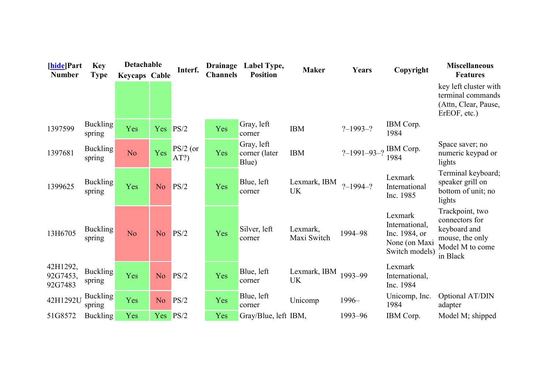| [hide]Part                      | <b>Key</b>                | Detachable           |                | Interf.            | <b>Drainage</b> | Label Type,                          | <b>Maker</b>              | Years               | Copyright                                                                     | <b>Miscellaneous</b>                                                                                |
|---------------------------------|---------------------------|----------------------|----------------|--------------------|-----------------|--------------------------------------|---------------------------|---------------------|-------------------------------------------------------------------------------|-----------------------------------------------------------------------------------------------------|
| <b>Number</b>                   | <b>Type</b>               | <b>Keycaps Cable</b> |                |                    | <b>Channels</b> | <b>Position</b>                      |                           |                     |                                                                               | <b>Features</b><br>key left cluster with<br>terminal commands<br>(Attn, Clear, Pause,               |
| 1397599                         | Buckling<br>spring        | Yes                  | Yes            | PS/2               | Yes             | Gray, left<br>corner                 | <b>IBM</b>                | $? - 1993 - ?$      | IBM Corp.<br>1984                                                             | ErEOF, etc.)                                                                                        |
| 1397681                         | <b>Buckling</b><br>spring | N <sub>o</sub>       | Yes            | $PS/2$ (or<br>AT?) | Yes             | Gray, left<br>corner (later<br>Blue) | <b>IBM</b>                | $? - 1991 - 93 - ?$ | IBM Corp.<br>1984                                                             | Space saver; no<br>numeric keypad or<br>lights                                                      |
| 1399625                         | <b>Buckling</b><br>spring | Yes                  | N <sub>o</sub> | PS/2               | Yes             | Blue, left<br>corner                 | Lexmark, IBM<br><b>UK</b> | $? - 1994 - ?$      | Lexmark<br>International<br>Inc. 1985                                         | Terminal keyboard;<br>speaker grill on<br>bottom of unit; no<br>lights                              |
| 13H6705                         | <b>Buckling</b><br>spring | N <sub>o</sub>       | N <sub>o</sub> | PS/2               | Yes             | Silver, left<br>corner               | Lexmark,<br>Maxi Switch   | 1994-98             | Lexmark<br>International,<br>Inc. 1984, or<br>None (on Maxi<br>Switch models) | Trackpoint, two<br>connectors for<br>keyboard and<br>mouse, the only<br>Model M to come<br>in Black |
| 42H1292,<br>92G7453,<br>92G7483 | <b>Buckling</b><br>spring | Yes                  | N <sub>o</sub> | PS/2               | Yes             | Blue, left<br>corner                 | Lexmark, IBM<br><b>UK</b> | 1993-99             | Lexmark<br>International,<br>Inc. 1984                                        |                                                                                                     |
| 42H1292U                        | <b>Buckling</b><br>spring | Yes                  | N <sub>o</sub> | PS/2               | Yes             | Blue, left<br>corner                 | Unicomp                   | 1996-               | Unicomp, Inc.<br>1984                                                         | Optional AT/DIN<br>adapter                                                                          |
| 51G8572                         | <b>Buckling</b>           | Yes                  | Yes PS/2       |                    | Yes             | Gray/Blue, left IBM,                 |                           | 1993-96             | IBM Corp.                                                                     | Model M; shipped                                                                                    |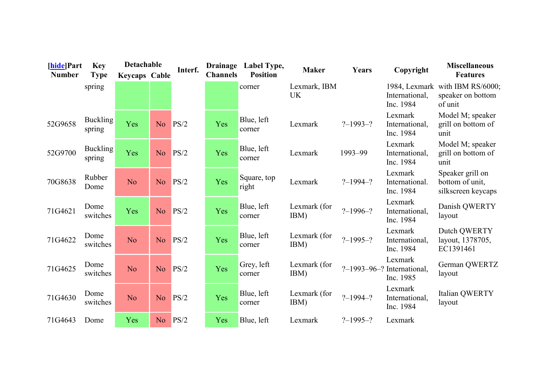| [hide]Part<br><b>Number</b> | <b>Key</b>                | Detachable           |                | Interf. | <b>Drainage</b><br><b>Channels</b> | Label Type,<br><b>Position</b> | <b>Maker</b>              | Years          | Copyright                                               | <b>Miscellaneous</b><br><b>Features</b>                         |
|-----------------------------|---------------------------|----------------------|----------------|---------|------------------------------------|--------------------------------|---------------------------|----------------|---------------------------------------------------------|-----------------------------------------------------------------|
|                             | <b>Type</b><br>spring     | <b>Keycaps Cable</b> |                |         |                                    | corner                         | Lexmark, IBM<br><b>UK</b> |                | International,<br>Inc. 1984                             | 1984, Lexmark with IBM RS/6000;<br>speaker on bottom<br>of unit |
| 52G9658                     | <b>Buckling</b><br>spring | Yes                  | N <sub>o</sub> | PS/2    | Yes                                | Blue, left<br>corner           | Lexmark                   | $? - 1993 - ?$ | Lexmark<br>International,<br>Inc. 1984                  | Model M; speaker<br>grill on bottom of<br>unit                  |
| 52G9700                     | <b>Buckling</b><br>spring | Yes                  | N <sub>o</sub> | PS/2    | Yes                                | Blue, left<br>corner           | Lexmark                   | 1993-99        | Lexmark<br>International,<br>Inc. 1984                  | Model M; speaker<br>grill on bottom of<br>unit                  |
| 70G8638                     | Rubber<br>Dome            | N <sub>o</sub>       | N <sub>o</sub> | PS/2    | Yes                                | Square, top<br>right           | Lexmark                   | $? - 1994 - ?$ | Lexmark<br>International.<br>Inc. 1984                  | Speaker grill on<br>bottom of unit,<br>silkscreen keycaps       |
| 71G4621                     | Dome<br>switches          | Yes                  | N <sub>o</sub> | PS/2    | Yes                                | Blue, left<br>corner           | Lexmark (for<br>IBM)      | $? - 1996 - ?$ | Lexmark<br>International,<br>Inc. 1984                  | Danish QWERTY<br>layout                                         |
| 71G4622                     | Dome<br>switches          | N <sub>o</sub>       | N <sub>o</sub> | PS/2    | Yes                                | Blue, left<br>corner           | Lexmark (for<br>IBM)      | $? - 1995 - ?$ | Lexmark<br>International,<br>Inc. 1984                  | Dutch QWERTY<br>layout, 1378705,<br>EC1391461                   |
| 71G4625                     | Dome<br>switches          | N <sub>o</sub>       | N <sub>o</sub> | PS/2    | Yes                                | Grey, left<br>corner           | Lexmark (for<br>IBM)      |                | Lexmark<br>$? -1993 -96 -?$ International,<br>Inc. 1985 | German QWERTZ<br>layout                                         |
| 71G4630                     | Dome<br>switches          | N <sub>o</sub>       | N <sub>o</sub> | PS/2    | Yes                                | Blue, left<br>corner           | Lexmark (for<br>IBM)      | $? - 1994 - ?$ | Lexmark<br>International,<br>Inc. 1984                  | Italian QWERTY<br>layout                                        |
| 71G4643                     | Dome                      | Yes                  | N <sub>o</sub> | PS/2    | Yes                                | Blue, left                     | Lexmark                   | $? - 1995 - ?$ | Lexmark                                                 |                                                                 |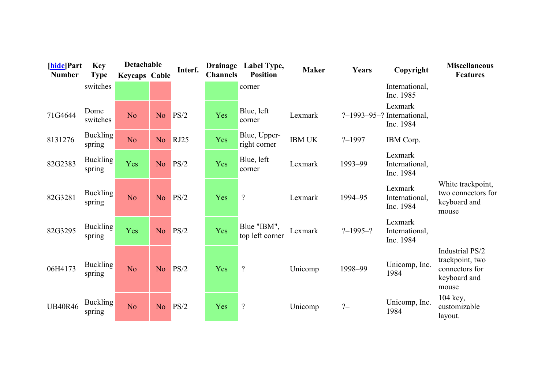| [hide]Part     | <b>Key</b>                | Detachable           |                | Interf.     | <b>Drainage</b> | Label Type,                    | <b>Maker</b>  | Years          | Copyright                                                  | <b>Miscellaneous</b>                                                          |
|----------------|---------------------------|----------------------|----------------|-------------|-----------------|--------------------------------|---------------|----------------|------------------------------------------------------------|-------------------------------------------------------------------------------|
| <b>Number</b>  | <b>Type</b>               | <b>Keycaps Cable</b> |                |             | <b>Channels</b> | <b>Position</b>                |               |                |                                                            | <b>Features</b>                                                               |
|                | switches                  |                      |                |             |                 | corner                         |               |                | International,<br>Inc. 1985                                |                                                                               |
| 71G4644        | Dome<br>switches          | N <sub>o</sub>       | N <sub>o</sub> | PS/2        | Yes             | Blue, left<br>corner           | Lexmark       |                | Lexmark<br>$? - 1993 - 95 - ?$ International,<br>Inc. 1984 |                                                                               |
| 8131276        | <b>Buckling</b><br>spring | N <sub>o</sub>       | N <sub>o</sub> | <b>RJ25</b> | Yes             | Blue, Upper-<br>right corner   | <b>IBM UK</b> | $? - 1997$     | IBM Corp.                                                  |                                                                               |
| 82G2383        | <b>Buckling</b><br>spring | Yes                  | N <sub>o</sub> | PS/2        | Yes             | Blue, left<br>corner           | Lexmark       | 1993-99        | Lexmark<br>International,<br>Inc. 1984                     |                                                                               |
| 82G3281        | <b>Buckling</b><br>spring | N <sub>o</sub>       | N <sub>o</sub> | PS/2        | Yes             | $\overline{?}$                 | Lexmark       | 1994-95        | Lexmark<br>International,<br>Inc. 1984                     | White trackpoint,<br>two connectors for<br>keyboard and<br>mouse              |
| 82G3295        | <b>Buckling</b><br>spring | Yes                  | N <sub>o</sub> | PS/2        | Yes             | Blue "IBM",<br>top left corner | Lexmark       | $? - 1995 - ?$ | Lexmark<br>International,<br>Inc. 1984                     |                                                                               |
| 06H4173        | <b>Buckling</b><br>spring | N <sub>o</sub>       | N <sub>o</sub> | PS/2        | Yes             | $\overline{?}$                 | Unicomp       | 1998-99        | Unicomp, Inc.<br>1984                                      | Industrial PS/2<br>trackpoint, two<br>connectors for<br>keyboard and<br>mouse |
| <b>UB40R46</b> | <b>Buckling</b><br>spring | N <sub>o</sub>       | N <sub>o</sub> | PS/2        | Yes             | $\overline{?}$                 | Unicomp       | $? -$          | Unicomp, Inc.<br>1984                                      | 104 key,<br>customizable<br>layout.                                           |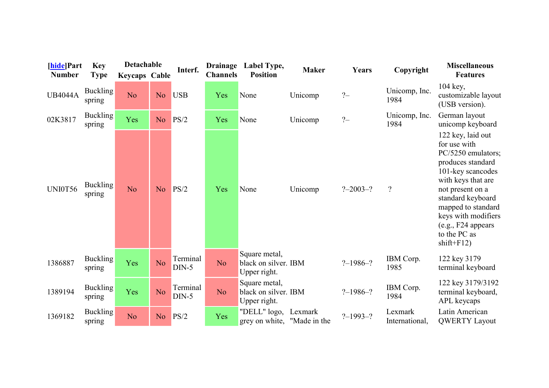| [hide]Part<br><b>Number</b> | <b>Key</b><br><b>Type</b> | Detachable<br><b>Keycaps Cable</b> |                | Interf.             | <b>Drainage</b><br><b>Channels</b> | Label Type,<br><b>Position</b>                        | <b>Maker</b> | Years          | Copyright                 | <b>Miscellaneous</b><br><b>Features</b>                                                                                                                                                                                                                              |
|-----------------------------|---------------------------|------------------------------------|----------------|---------------------|------------------------------------|-------------------------------------------------------|--------------|----------------|---------------------------|----------------------------------------------------------------------------------------------------------------------------------------------------------------------------------------------------------------------------------------------------------------------|
| <b>UB4044A</b>              | <b>Buckling</b><br>spring | N <sub>o</sub>                     | N <sub>o</sub> | <b>USB</b>          | Yes                                | None                                                  | Unicomp      | $? -$          | Unicomp, Inc.<br>1984     | 104 key,<br>customizable layout<br>(USB version).                                                                                                                                                                                                                    |
| 02K3817                     | <b>Buckling</b><br>spring | Yes                                | N <sub>o</sub> | PS/2                | Yes                                | None                                                  | Unicomp      | $2 -$          | Unicomp, Inc.<br>1984     | German layout<br>unicomp keyboard                                                                                                                                                                                                                                    |
| <b>UNI0T56</b>              | Buckling<br>spring        | N <sub>o</sub>                     | N <sub>o</sub> | PS/2                | Yes                                | None                                                  | Unicomp      | $? - 2003 - ?$ | $\boldsymbol{?}$          | 122 key, laid out<br>for use with<br>PC/5250 emulators;<br>produces standard<br>101-key scancodes<br>with keys that are<br>not present on a<br>standard keyboard<br>mapped to standard<br>keys with modifiers<br>(e.g., F24 appears)<br>to the PC as<br>$shift+F12)$ |
| 1386887                     | <b>Buckling</b><br>spring | Yes                                | No.            | Terminal<br>$DIN-5$ | N <sub>o</sub>                     | Square metal,<br>black on silver. IBM<br>Upper right. |              | $? - 1986 - ?$ | IBM Corp.<br>1985         | 122 key 3179<br>terminal keyboard                                                                                                                                                                                                                                    |
| 1389194                     | <b>Buckling</b><br>spring | Yes                                | No.            | Terminal<br>$DIN-5$ | N <sub>o</sub>                     | Square metal,<br>black on silver. IBM<br>Upper right. |              | $? - 1986 - ?$ | IBM Corp.<br>1984         | 122 key 3179/3192<br>terminal keyboard,<br>APL keycaps                                                                                                                                                                                                               |
| 1369182                     | <b>Buckling</b><br>spring | N <sub>o</sub>                     | N <sub>o</sub> | PS/2                | Yes                                | "DELL" logo,<br>grey on white, "Made in the           | Lexmark      | $? - 1993 - ?$ | Lexmark<br>International, | Latin American<br><b>QWERTY Layout</b>                                                                                                                                                                                                                               |